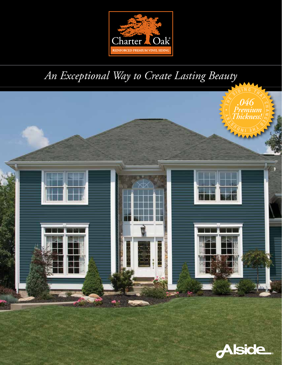

# *An Exceptional Way to Create Lasting Beauty*



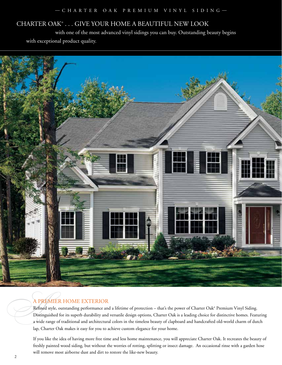# CHARTER OAK® . . . GIVE YOUR HOME A BEAUTIFUL NEW LOOK

 with one of the most advanced vinyl sidings you can buy. Outstanding beauty begins with exceptional product quality.



*A*-PREMIER HOME EXTERIOR<br>Refined style, outstanding performance an<br>Distinguished for its superb durability and<br>a wide range of traditional and architecture Refined style, outstanding performance and a lifetime of protection – that's the power of Charter Oak® Premium Vinyl Siding. Distinguished for its superb durability and versatile design options, Charter Oak is a leading choice for distinctive homes. Featuring a wide range of traditional and architectural colors in the timeless beauty of clapboard and handcrafted old-world charm of dutch lap, Charter Oak makes it easy for you to achieve custom elegance for your home.

> If you like the idea of having more free time and less home maintenance, you will appreciate Charter Oak. It recreates the beauty of freshly painted wood siding, but without the worries of rotting, splitting or insect damage. An occasional rinse with a garden hose will remove most airborne dust and dirt to restore the like-new beauty.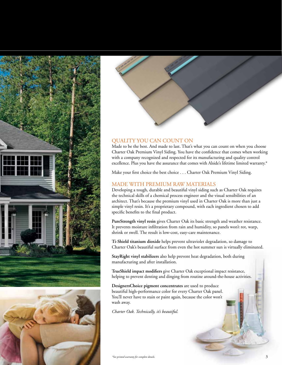





### QUALITY YOU CAN COUNT ON

Made to be the best. And made to last. That's what you can count on when you choose Charter Oak Premium Vinyl Siding. You have the confidence that comes when working with a company recognized and respected for its manufacturing and quality control excellence. Plus you have the assurance that comes with Alside's lifetime limited warranty.\*

Make your first choice the best choice . . . Charter Oak Premium Vinyl Siding.

#### MADE WITH PREMIUM RAW MATERIALS

Developing a tough, durable and beautiful vinyl siding such as Charter Oak requires the technical skills of a chemical process engineer and the visual sensibilities of an architect. That's because the premium vinyl used in Charter Oak is more than just a simple vinyl resin. It's a proprietary compound, with each ingredient chosen to add specific benefits to the final product.

**PureStrength vinyl resin** gives Charter Oak its basic strength and weather resistance. It prevents moisture infiltration from rain and humidity, so panels won't rot, warp, shrink or swell. The result is low-cost, easy-care maintenance.

**Ti-Shield titanium dioxide** helps prevent ultraviolet degradation, so damage to Charter Oak's beautiful surface from even the hot summer sun is virtually eliminated.

**StayRight vinyl stabilizers** also help prevent heat degradation, both during manufacturing and after installation.

**TrueShield impact modifiers** give Charter Oak exceptional impact resistance, helping to prevent denting and dinging from routine around-the-house activities.

**DesignersChoice pigment concentrates** are used to produce beautiful high-performance color for every Charter Oak panel. You'll never have to stain or paint again, because the color won't wash away.

*Charter Oak. Technically, it's beautiful.*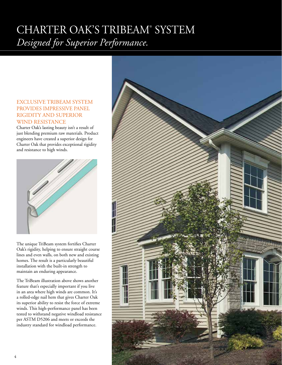# CHARTER OAK'S TRIBEAM® SYSTEM *Designed for Superior Performance.*

### EXCLUSIVE TRIBEAM SYSTEM PROVIDES IMPRESSIVE PANEL RIGIDITY AND SUPERIOR WIND RESISTANCE

Charter Oak's lasting beauty isn't a result of just blending premium raw materials. Product engineers have created a superior design for Charter Oak that provides exceptional rigidity and resistance to high winds.



The unique TriBeam system fortifies Charter Oak's rigidity, helping to ensure straight course lines and even walls, on both new and existing homes. The result is a particularly beautiful installation with the built-in strength to maintain an enduring appearance.

The TriBeam illustration above shows another feature that's especially important if you live in an area where high winds are common. It's a rolled-edge nail hem that gives Charter Oak its superior ability to resist the force of extreme winds. This high-performance panel has been tested to withstand negative windload resistance per ASTM D5206 and meets or exceeds the industry standard for windload performance.

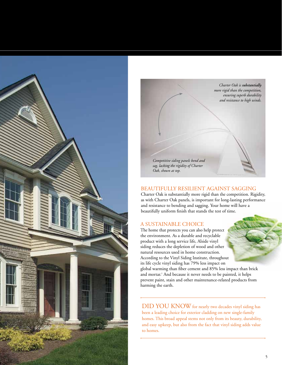



#### BEAUTIFULLY RESILIENT AGAINST SAGGING

Charter Oak is substantially more rigid than the competition. Rigidity, as with Charter Oak panels, is important for long-lasting performance and resistance to bending and sagging. Your home will have a beautifully uniform finish that stands the test of time.

#### A SUSTAINABLE CHOICE

The home that protects you can also help protect the environment. As a durable and recyclable product with a long service life, Alside vinyl siding reduces the depletion of wood and other natural resources used in home construction. According to the Vinyl Siding Institute, throughout its life cycle vinyl siding has 79% less impact on global warming than fiber cement and 85% less impact than brick and mortar.† And because it never needs to be painted, it helps prevent paint, stain and other maintenance-related products from harming the earth.

DID YOU KNOW for nearly two decades vinyl siding has been a leading choice for exterior cladding on new single-family homes. This broad appeal stems not only from its beauty, durability, and easy upkeep, but also from the fact that vinyl siding adds value to homes.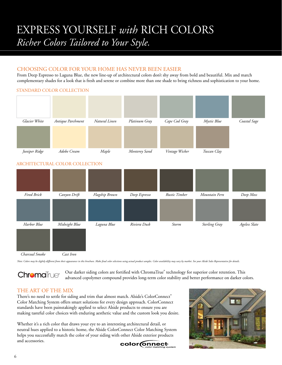# EXPRESS YOURSELF *with* RICH COLORS *Richer Colors Tailored to Your Style.*

### CHOOSING COLOR FOR YOUR HOME HAS NEVER BEEN EASIER

From Deep Espresso to Laguna Blue, the new line-up of architectural colors don't shy away from bold and beautiful. Mix and match complementary shades for a look that is fresh and serene or combine more than one shade to bring richness and sophistication to your home.



Note: Colors may be slightly different from their appearance in this brochure. Make final color selections using actual product samples. Color availability may vary by market. See your Alside Sales Representative for detai

Our darker siding colors are fortified with ChromaTrue® technology for superior color retention. This **Chroma**True® advanced copolymer compound provides long-term color stability and better performance on darker colors.

### THE ART OF THE MIX

There's no need to settle for siding and trim that almost match. Alside's ColorConnect® Color Matching System offers smart solutions for every design approach. ColorConnect standards have been painstakingly applied to select Alside products to ensure you are making tasteful color choices with enduring aesthetic value and the custom look you desire.

Whether it's a rich color that draws your eye to an interesting architectural detail, or neutral hues applied to a historic home, the Alside ColorConnect Color Matching System helps you successfully match the color of your siding with other Alside exterior products and accessories.  $color$  mect®

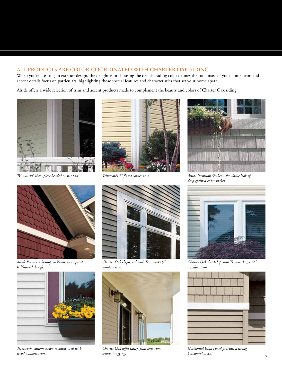### ALL PRODUCTS ARE COLOR-COORDINATED WITH CHARTER OAK SIDING

When you're creating an exterior design, the delight is in choosing the details. Siding color defines the total mass of your home; trim and accent details focus on particulars, highlighting those special features and characteristics that set your home apart.

Alside offers a wide selection of trim and accent products made to complement the beauty and colors of Charter Oak siding.



*Trimworks® three-piece beaded corner post.*



*Trimworks 7" fluted corner post.*





*Alside Premium Scallops – Victorian inspired half-round shingles.*



*Trimworks custom crown molding used with wood window trim.*



*Charter Oak clapboard with Trimworks 5" window trim.*



*Charter Oak soffit easily spans long runs without sagging.*



*Charter Oak dutch lap with Trimworks 3-1/2" window trim.*



*Horizontal band board provides a strong horizontal accent.*